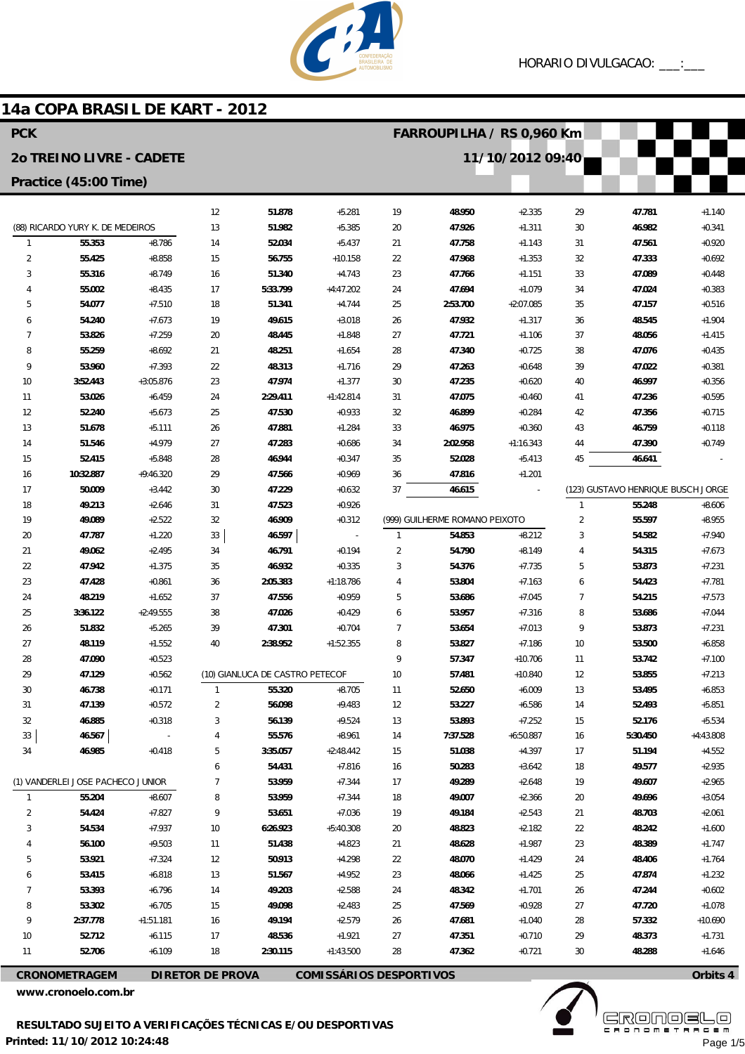

# 14a COPA BRASIL DE KART - 2012

| <b>PCK</b>                        |                          |             |                         |                                 |                                |              | FARROUPILHA / RS 0,960 Km      |             |                |                                    |             |  |  |
|-----------------------------------|--------------------------|-------------|-------------------------|---------------------------------|--------------------------------|--------------|--------------------------------|-------------|----------------|------------------------------------|-------------|--|--|
|                                   | 20 TREINO LIVRE - CADETE |             |                         |                                 | 11/10/2012 09:40               |              |                                |             |                |                                    |             |  |  |
| Practice (45:00 Time)             |                          |             |                         |                                 |                                |              |                                |             |                |                                    |             |  |  |
|                                   |                          |             | 12                      | 51.878                          | $+5.281$                       | 19           | 48.950                         | $+2.335$    | 29             | 47.781                             | $+1.140$    |  |  |
| (88) RICARDO YURY K. DE MEDEIROS  |                          | 13          | 51.982                  | $+5.385$                        | 20                             | 47.926       | $+1.311$                       | 30          | 46.982         | $+0.341$                           |             |  |  |
| $\mathbf{1}$                      | 55.353                   | $+8.786$    | 14                      | 52.034                          | $+5.437$                       | 21           | 47.758                         | $+1.143$    | 31             | 47.561                             | $+0.920$    |  |  |
| 2                                 | 55.425                   | $+8.858$    | 15                      | 56.755                          | $+10.158$                      | 22           | 47.968                         | $+1.353$    | 32             | 47.333                             | $+0.692$    |  |  |
| 3                                 | 55.316                   | $+8.749$    | 16                      | 51.340                          | $+4.743$                       | 23           | 47.766                         | $+1.151$    | 33             | 47.089                             | $+0.448$    |  |  |
| 4                                 | 55.002                   | $+8.435$    | 17                      | 5:33.799                        | $+4:47.202$                    | 24           | 47.694                         | $+1.079$    | 34             | 47.024                             | $+0.383$    |  |  |
| 5                                 | 54.077                   | $+7.510$    | 18                      | 51.341                          | $+4.744$                       | 25           | 2:53.700                       | $+2:07.085$ | 35             | 47.157                             | $+0.516$    |  |  |
| 6                                 | 54.240                   | $+7.673$    | 19                      | 49.615                          | $+3.018$                       | 26           | 47.932                         | $+1.317$    | 36             | 48.545                             | $+1.904$    |  |  |
| 7                                 | 53.826                   | $+7.259$    | 20                      | 48.445                          | $+1.848$                       | 27           | 47.721                         | $+1.106$    | 37             | 48.056                             | $+1.415$    |  |  |
| 8                                 | 55.259                   | $+8.692$    | 21                      | 48.251                          | $+1.654$                       | 28           | 47.340                         | $+0.725$    | 38             | 47.076                             | $+0.435$    |  |  |
| 9                                 | 53.960                   | $+7.393$    | 22                      | 48.313                          | $+1.716$                       | 29           | 47.263                         | $+0.648$    | 39             | 47.022                             | $+0.381$    |  |  |
| 10                                | 3:52.443                 | $+3:05.876$ | 23                      | 47.974                          | $+1.377$                       | 30           | 47.235                         | $+0.620$    | 40             | 46.997                             | $+0.356$    |  |  |
| 11                                | 53.026                   | $+6.459$    | 24                      | 2:29.411                        | $+1:42.814$                    | 31           | 47.075                         | $+0.460$    | 41             | 47.236                             | $+0.595$    |  |  |
| 12                                | 52.240                   | $+5.673$    | 25                      | 47.530                          | $+0.933$                       | 32           | 46.899                         | $+0.284$    | 42             | 47.356                             | $+0.715$    |  |  |
| 13                                | 51.678                   | $+5.111$    | 26                      | 47.881                          | $+1.284$                       | 33           | 46.975                         | $+0.360$    | 43             | 46.759                             | $+0.118$    |  |  |
| 14                                | 51.546                   | $+4.979$    | 27                      | 47.283                          | $+0.686$                       | 34           | 2:02.958                       | $+1:16.343$ | 44             | 47.390                             | $+0.749$    |  |  |
| 15                                | 52.415                   | $+5.848$    | 28                      | 46.944                          | $+0.347$                       | 35           | 52.028                         | $+5.413$    | 45             | 46.641                             |             |  |  |
| 16                                | 10:32.887                | $+9:46.320$ | 29                      | 47.566                          | $+0.969$                       | 36           | 47.816                         | $+1.201$    |                |                                    |             |  |  |
| 17                                | 50.009                   | $+3.442$    | 30                      | 47.229                          | $+0.632$                       | 37           | 46.615                         |             |                | (123) GUSTAVO HENRIQUE BUSCH JORGE |             |  |  |
| 18                                | 49.213                   | $+2.646$    | 31                      | 47.523                          | $+0.926$                       |              |                                |             | $\mathbf{1}$   | 55.248                             | $+8.606$    |  |  |
| 19                                | 49.089                   | $+2.522$    | 32                      | 46.909                          | $+0.312$                       |              | (999) GUILHERME ROMANO PEIXOTO |             | $\overline{2}$ | 55.597                             | $+8.955$    |  |  |
| 20                                | 47.787                   | $+1.220$    | 33                      | 46.597                          | $\overline{\phantom{a}}$       | $\mathbf{1}$ | 54.853                         | $+8.212$    | 3              | 54.582                             | $+7.940$    |  |  |
| 21                                | 49.062                   | $+2.495$    | 34                      | 46.791                          | $+0.194$                       | 2            | 54.790                         | $+8.149$    | 4              | 54.315                             | $+7.673$    |  |  |
| 22                                | 47.942                   | $+1.375$    | 35                      | 46.932                          | $+0.335$                       | 3            | 54.376                         | $+7.735$    | 5              | 53.873                             | $+7.231$    |  |  |
| 23                                | 47.428                   | $+0.861$    | 36                      | 2:05.383                        | $+1:18.786$                    | 4            | 53.804                         | $+7.163$    | 6              | 54.423                             | $+7.781$    |  |  |
| 24                                | 48.219                   | $+1.652$    | 37                      | 47.556                          | $+0.959$                       | 5            | 53.686                         | $+7.045$    | 7              | 54.215                             | $+7.573$    |  |  |
| 25                                | 3:36.122                 | $+2:49.555$ | 38                      | 47.026                          | $+0.429$                       | 6            | 53.957                         | $+7.316$    | 8              | 53.686                             | $+7.044$    |  |  |
| 26                                | 51.832                   | $+5.265$    | 39                      | 47.301                          | $+0.704$                       | 7            | 53.654                         | $+7.013$    | 9              | 53.873                             | $+7.231$    |  |  |
| 27                                | 48.119                   | $+1.552$    | 40                      | 2:38.952                        | $+1:52.355$                    | 8            | 53.827                         | $+7.186$    | 10             | 53.500                             | $+6.858$    |  |  |
| 28                                | 47.090                   | $+0.523$    |                         |                                 |                                | 9            | 57.347                         | $+10.706$   | 11             | 53.742                             | $+7.100$    |  |  |
| 29                                | 47.129                   | $+0.562$    |                         | (10) GIANLUCA DE CASTRO PETECOF |                                | 10           | 57.481                         | $+10.840$   | 12             | 53.855                             | $+7.213$    |  |  |
| 30                                | 46.738                   | $+0.171$    |                         | 55.320                          | $+8.705$                       | 11           | 52.650                         | $+6.009$    | 13             | 53.495                             | $+6.853$    |  |  |
| 31                                | 47.139                   | $+0.572$    | 2                       | 56.098                          | $+9.483$                       | 12           | 53.227                         | $+6.586$    | 14             | 52.493                             | $+5.851$    |  |  |
| 32                                | 46.885                   | $+0.318$    | 3                       | 56.139                          | $+9.524$                       | 13           | 53.893                         | $+7.252$    | 15             | 52.176                             | $+5.534$    |  |  |
| 33                                | 46.567                   |             | 4                       | 55.576                          | $+8.961$                       | 14           | 7:37.528                       | $+6:50.887$ | 16             | 5:30.450                           | $+4:43.808$ |  |  |
| 34                                | 46.985                   | $+0.418$    | 5                       | 3:35.057                        | $+2:48.442$                    | 15           | 51.038                         | $+4.397$    | 17             | 51.194                             | $+4.552$    |  |  |
|                                   |                          |             | 6                       | 54.431                          | $+7.816$                       | 16           | 50.283                         | $+3.642$    | 18             | 49.577                             | $+2.935$    |  |  |
| (1) VANDERLEI JOSE PACHECO JUNIOR |                          | 7           | 53.959                  | $+7.344$                        | 17                             | 49.289       | $+2.648$                       | 19          | 49.607         | $+2.965$                           |             |  |  |
| $\mathbf{1}$                      | 55.204                   | $+8.607$    | 8                       | 53.959                          | $+7.344$                       | 18           | 49.007                         | $+2.366$    | 20             | 49.696                             | $+3.054$    |  |  |
| 2                                 | 54.424                   | $+7.827$    | 9                       | 53.651                          | $+7.036$                       | 19           | 49.184                         | $+2.543$    | 21             | 48.703                             | $+2.061$    |  |  |
| 3                                 | 54.534                   | $+7.937$    | 10                      | 6:26.923                        | $+5:40.308$                    | 20           | 48.823                         | $+2.182$    | 22             | 48.242                             | $+1.600$    |  |  |
|                                   | 56.100                   | $+9.503$    | 11                      | 51.438                          | $+4.823$                       | 21           | 48.628                         | $+1.987$    | 23             | 48.389                             | $+1.747$    |  |  |
| 5                                 | 53.921                   | $+7.324$    | 12                      | 50.913                          | $+4.298$                       | 22           | 48.070                         | $+1.429$    | 24             | 48.406                             | $+1.764$    |  |  |
| 6                                 | 53.415                   | $+6.818$    | 13                      | 51.567                          | $+4.952$                       | 23           | 48.066                         | $+1.425$    | 25             | 47.874                             | $+1.232$    |  |  |
| 7                                 | 53.393                   | $+6.796$    | 14                      | 49.203                          | $+2.588$                       | 24           | 48.342                         | $+1.701$    | 26             | 47.244                             | $+0.602$    |  |  |
| 8                                 | 53.302                   | $+6.705$    | 15                      | 49.098                          | $+2.483$                       | 25           | 47.569                         | $+0.928$    | 27             | 47.720                             | $+1.078$    |  |  |
| 9                                 | 2:37.778                 | $+1:51.181$ | 16                      | 49.194                          | $+2.579$                       | 26           | 47.681                         | $+1.040$    | 28             | 57.332                             | $+10.690$   |  |  |
| 10                                | 52.712                   | $+6.115$    | 17                      | 48.536                          | $+1.921$                       | 27           | 47.351                         | $+0.710$    | 29             | 48.373                             | $+1.731$    |  |  |
| 11                                | 52.706                   | $+6.109$    | 18                      | 2:30.115                        | $+1:43.500$                    | 28           | 47.362                         | $+0.721$    | 30             | 48.288                             | $+1.646$    |  |  |
|                                   | <b>CRONOMETRAGEM</b>     |             | <b>DIRETOR DE PROVA</b> |                                 | <b>COMISSÁRIOS DESPORTIVOS</b> |              |                                |             |                |                                    | Orbits 4    |  |  |

www.cronoelo.com.br

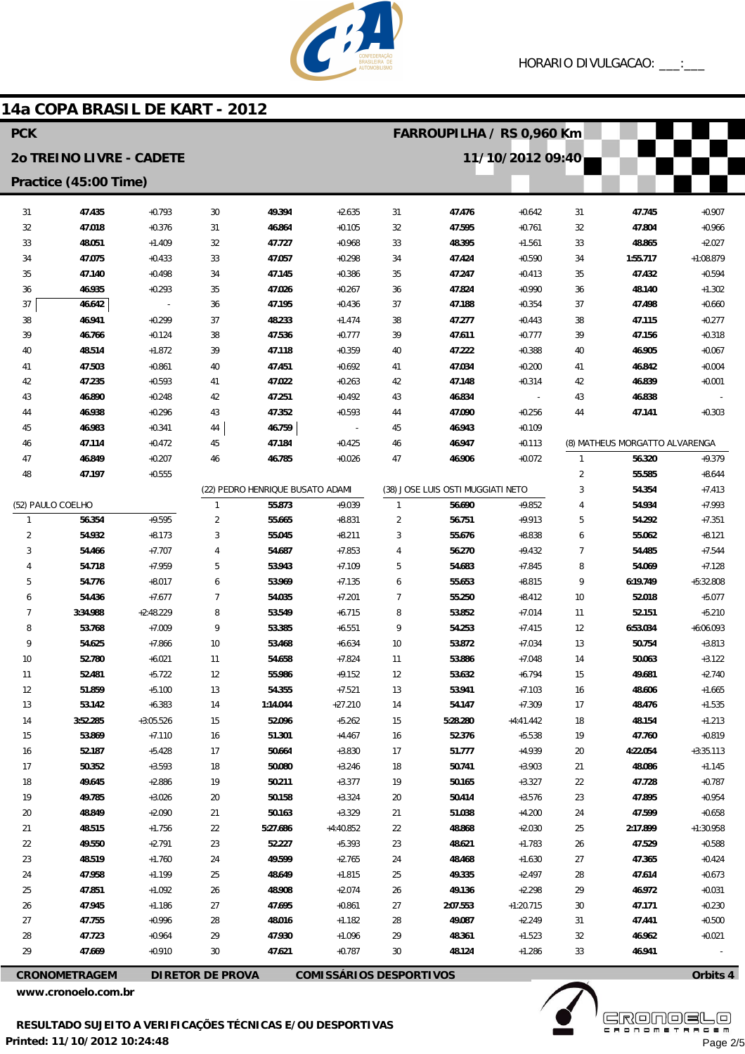

### 30 31 32 33 34 35 36 37 38 39  $40$ 41 42 43 44 45 46 (22) PEDRO HENRIQUE BUSATO ADAMI 1 2 3 4 5 6 7 8 9 10 11 12 13 14 15 16 17 18 19 20  $21$ 22 23  $24$ 25 26 27 28 29 30 **49.394 46.864 47.727 47.057 47.145 47.026 47.195 48.233 47.536 47.118 47.451 47.022 47.251 47.352 46.759 47.184 46.785 55.873 55.665 55.045 54.687 53.943 53.969 54.035 53.549 53.385 53.468 54.658 55.986 54.355 1:14.044 52.096 51.301 50.664 50.080 50.211 50.158 50.163 5:27.686 52.227 49.599 48.649 48.908 47.695 48.016 47.930 47.621** +2.635 +0.105 +0.968 +0.298 +0.386 +0.267 +0.436 +1.474 +0.777 +0.359 +0.692  $+0.263$ +0.492 +0.593 - +0.425 +0.026 +9.039 +8.831 +8.211 +7.853 +7.109 +7.135 +7.201 +6.715 +6.551 +6.634 +7.824 +9.152 +7.521 +27.210 +5.262 +4.467 +3.830 +3.246 +3.377 +3.324 +3.329 +4:40.852 +5.393 +2.765 +1.815 +2.074 +0.861 +1.182 +1.096 +0.787 31 32 33 34 35 36 37 38 39 40 41 42 43 44 45 46 47 (38) JOSE LUIS OSTI MUGGIATI NETO 1 2 3 4 5 6 7 8 9 10 11 12 13 14 15 16 17 18 19 20  $21$ 22 23  $24$ 25 26 27 28 29 30 **47.476 47.595 48.395 47.424 47.247 47.824 47.188 47.277 47.611 47.222 47.034 47.148 46.834 47.090 46.943 46.947 46.906 56.690 56.751 55.676 56.270 54.683 55.653 55.250 53.852 54.253 53.872 53.886 53.632 53.941 54.147 5:28.280 52.376 51.777 50.741 50.165 50.414 51.038 48.868 48.621 48.468 49.335 49.136 2:07.553 49.087 48.361 48.124** +0.642 +0.761 +1.561 +0.590 +0.413 +0.990 +0.354 +0.443 +0.777 +0.388 +0.200 +0.314 - +0.256 +0.109 +0.113 +0.072 +9.852 +9.913 +8.838 +9.432 +7.845 +8.815 +8.412 +7.014 +7.415 +7.034 +7.048 +6.794 +7.103 +7.309 +4:41.442 +5.538 +4.939 +3.903 +3.327 +3.576  $+4.200$ +2.030 +1.783 +1.630 +2.497 +2.298 +1:20.715 +2.249 +1.523 +1.286 31 32 33 34 35 36 37 38 39 40 41  $42$ 43 44 (8) MATHEUS MORGATTO ALVARENGA 1 2 3 4 5 6 7 8 9 10 11 12 13 14 15 16 17 18 19 20 21 22 23 24 25 26  $27$ 28 29 30 31 32 33 **47.745 47.804 48.865 1:55.717 47.432 48.140 47.498 47.115 47.156 46.905 46.842 46.839 46.838 47.141 56.320 55.585 54.354 54.934 54.292 55.062 54.485 54.069 6:19.749 52.018 52.151 6:53.034 50.754 50.063 49.681 48.606 48.476 48.154 47.760 4:22.054 48.086 47.728 47.895 47.599 2:17.899 47.529 47.365 47.614 46.972 47.171 47.441 46.962 46.941** +0.907 +0.966 +2.027 +1:08.879 +0.594 +1.302 +0.660 +0.277 +0.318 +0.067  $+0.004$ +0.001 - +0.303 +9.379 +8.644 +7.413 +7.993 +7.351 +8.121 +7.544 +7.128 +5:32.808 +5.077 +5.210 +6:06.093 +3.813 +3.122 +2.740 +1.665 +1.535 +1.213 +0.819 +3:35.113 +1.145 +0.787 +0.954 +0.658 +1:30.958 +0.588  $+0.424$ +0.673 +0.031 +0.230 +0.500 +0.021 - 31 32 33 34 35 36 37 38 39 40 41  $42$ 43 44 45 46 47 48 (52) PAULO COELHO 1 2 3 4 5 6 7 8 9 10 11 12 13 14 15 16 17 18 19  $20$ 21  $\overline{2}$  $23$ 24 25 26 27 28  $29$ **47.435 47.018 48.051 47.075 47.140 46.935 46.642 46.941 46.766 48.514 47.503 47.235 46.890 46.938 46.983 47.114 46.849 47.197 56.354 54.932 54.466 54.718 54.776 54.436 3:34.988 53.768 54.625 52.780 52.481 51.859 53.142 3:52.285 53.869 52.187 50.352 49.645 49.785 48.849 48.515 49.550 48.519 47.958 47.851 47.945 47.755 47.723 47.669** +0.793 +0.376 +1.409 +0.433 +0.498 +0.293 - +0.299 +0.124 +1.872 +0.861 +0.593 +0.248 +0.296 +0.341 +0.472 +0.207 +0.555 +9.595 +8.173 +7.707 +7.959 +8.017 +7.677 +2:48.229 +7.009 +7.866 +6.021 +5.722 +5.100 +6.383 +3:05.526 +7.110 +5.428 +3.593 +2.886 +3.026 +2.090 +1.756 +2.791  $+1.760$ +1.199 +1.092 +1.186 +0.996 +0.964 +0.910 **PCK 2o TREINO LIVRE - CADETE Practice (45:00 Time) FARROUPILHA / RS 0,960 Km 11/10/2012 09:40**

**14a COPA BRASIL DE KART - 2012**

**CRONOMETRAGEM DIRETOR DE PROVA COMISSÁRIOS DESPORTIVOS**

**www.cronoelo.com.br**



**www.mylaps.com**

**Licensed to: Cronoelo** Page 2/5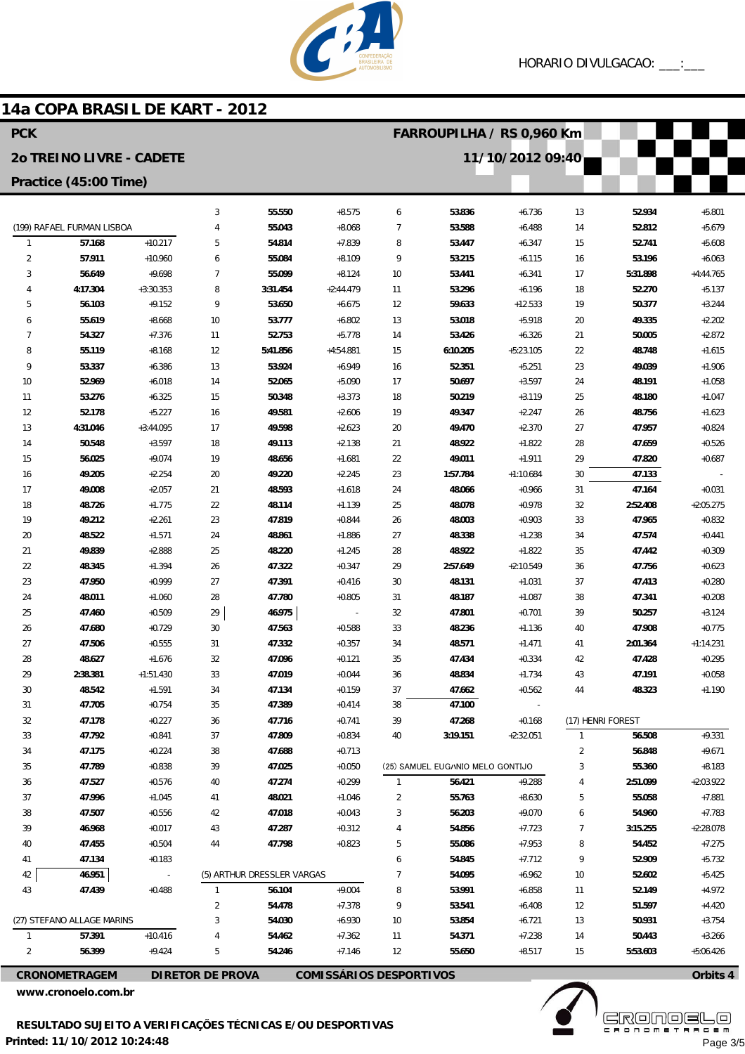

### 14a COPA BRASIL DE KART - 2012

| <b>PCK</b>                                   |                            |                      |                         |                            |                                |                | FARROUPILHA / RS 0,960 Km        |                      |                   |                    |                         |  |  |
|----------------------------------------------|----------------------------|----------------------|-------------------------|----------------------------|--------------------------------|----------------|----------------------------------|----------------------|-------------------|--------------------|-------------------------|--|--|
| 11/10/2012 09:40<br>20 TREINO LIVRE - CADETE |                            |                      |                         |                            |                                |                |                                  |                      |                   |                    |                         |  |  |
|                                              | Practice (45:00 Time)      |                      |                         |                            |                                |                |                                  |                      |                   |                    |                         |  |  |
|                                              |                            |                      | 3                       | 55.550                     | $+8.575$                       | 6              | 53.836                           | $+6.736$             | 13                | 52.934             | $+5.801$                |  |  |
|                                              | (199) RAFAEL FURMAN LISBOA |                      | $\overline{4}$          | 55.043                     | $+8.068$                       | $\overline{7}$ | 53.588                           | $+6.488$             | 14                | 52.812             | $+5.679$                |  |  |
| $\mathbf{1}$                                 | 57.168                     | $+10.217$            | 5                       | 54.814                     | $+7.839$                       | 8              | 53.447                           | $+6.347$             | 15                | 52.741             | $+5.608$                |  |  |
| 2                                            | 57.911                     | $+10.960$            | 6                       | 55.084                     | $+8.109$                       | 9              | 53.215                           | $+6.115$             | 16                | 53.196             | $+6.063$                |  |  |
| 3                                            | 56.649                     | $+9.698$             | $\overline{7}$          | 55.099                     | $+8.124$                       | 10             | 53.441                           | $+6.341$             | 17                | 5:31.898           | $+4:44.765$             |  |  |
| 4                                            | 4:17.304                   | $+3:30.353$          | 8                       | 3:31.454                   | $+2:44.479$                    | 11             | 53.296                           | $+6.196$             | 18                | 52.270             | $+5.137$                |  |  |
| 5                                            | 56.103                     | $+9.152$             | 9                       | 53.650                     | $+6.675$                       | 12             | 59.633                           | $+12.533$            | 19                | 50.377             | $+3.244$                |  |  |
| 6                                            | 55.619                     | $+8.668$             | 10                      | 53.777                     | $+6.802$                       | 13             | 53.018                           | $+5.918$             | 20                | 49.335             | $+2.202$                |  |  |
| 7                                            | 54.327                     | $+7.376$             | 11                      | 52.753                     | $+5.778$                       | 14             | 53.426                           | $+6.326$             | 21                | 50.005             | $+2.872$                |  |  |
| 8                                            | 55.119                     | $+8.168$             | 12                      | 5:41.856                   | $+4:54.881$                    | 15             | 6:10.205                         | $+5:23.105$          | 22                | 48.748             | $+1.615$                |  |  |
| 9                                            | 53.337                     | $+6.386$             | 13                      | 53.924                     | $+6.949$                       | 16             | 52.351                           | $+5.251$             | 23                | 49.039             | $+1.906$                |  |  |
| 10                                           | 52.969                     | $+6.018$             | 14                      | 52.065                     | $+5.090$                       | 17             | 50.697                           | $+3.597$             | 24                | 48.191             | $+1.058$                |  |  |
| 11                                           | 53.276                     | $+6.325$             | 15                      | 50.348                     | $+3.373$                       | 18             | 50.219                           | $+3.119$             | 25                | 48.180             | $+1.047$                |  |  |
| 12                                           | 52.178                     | $+5.227$             | 16                      | 49.581                     | $+2.606$                       | 19             | 49.347                           | $+2.247$             | 26                | 48.756             | $+1.623$                |  |  |
| 13                                           | 4:31.046                   | $+3:44.095$          | 17                      | 49.598                     | $+2.623$                       | 20             | 49.470                           | $+2.370$             | 27                | 47.957             | $+0.824$                |  |  |
| 14                                           | 50.548                     | $+3.597$             | 18                      | 49.113                     | $+2.138$                       | 21             | 48.922                           | $+1.822$             | 28                | 47.659             | $+0.526$                |  |  |
| 15                                           | 56.025                     | $+9.074$             | 19                      | 48.656                     | $+1.681$                       | 22             | 49.011                           | $+1.911$             | 29                | 47.820             | $+0.687$                |  |  |
| 16                                           | 49.205                     | $+2.254$             | 20                      | 49.220                     | $+2.245$                       | 23             | 1:57.784                         | $+1:10.684$          | 30                | 47.133             |                         |  |  |
| 17                                           | 49.008                     | $+2.057$             | 21                      | 48.593                     | $+1.618$                       | 24             | 48.066                           | $+0.966$             | 31                | 47.164             | $+0.031$                |  |  |
| 18<br>19                                     | 48.726<br>49.212           | $+1.775$<br>$+2.261$ | 22<br>23                | 48.114<br>47.819           | $+1.139$<br>$+0.844$           | 25             | 48.078<br>48.003                 | $+0.978$<br>$+0.903$ | 32<br>33          | 2:52.408<br>47.965 | $+2:05.275$<br>$+0.832$ |  |  |
| 20                                           | 48.522                     | $+1.571$             | 24                      | 48.861                     | $+1.886$                       | 26<br>27       | 48.338                           | $+1.238$             | 34                | 47.574             | $+0.441$                |  |  |
| 21                                           | 49.839                     | $+2.888$             | 25                      | 48.220                     | $+1.245$                       | 28             | 48.922                           | $+1.822$             | 35                | 47.442             | $+0.309$                |  |  |
| 22                                           | 48.345                     | $+1.394$             | 26                      | 47.322                     | $+0.347$                       | 29             | 2:57.649                         | $+2:10.549$          | 36                | 47.756             | $+0.623$                |  |  |
| 23                                           | 47.950                     | $+0.999$             | 27                      | 47.391                     | $+0.416$                       | 30             | 48.131                           | $+1.031$             | 37                | 47.413             | $+0.280$                |  |  |
| 24                                           | 48.011                     | $+1.060$             | 28                      | 47.780                     | $+0.805$                       | 31             | 48.187                           | $+1.087$             | 38                | 47.341             | $+0.208$                |  |  |
| 25                                           | 47.460                     | $+0.509$             | 29                      | 46.975                     | $\overline{\phantom{a}}$       | 32             | 47.801                           | $+0.701$             | 39                | 50.257             | $+3.124$                |  |  |
| 26                                           | 47.680                     | $+0.729$             | 30                      | 47.563                     | $+0.588$                       | 33             | 48.236                           | $+1.136$             | 40                | 47.908             | $+0.775$                |  |  |
| 27                                           | 47.506                     | $+0.555$             | 31                      | 47.332                     | $+0.357$                       | 34             | 48.571                           | $+1.471$             | 41                | 2:01.364           | $+1:14.231$             |  |  |
| 28                                           | 48.627                     | $+1.676$             | 32                      | 47.096                     | $+0.121$                       | 35             | 47.434                           | $+0.334$             | 42                | 47.428             | $+0.295$                |  |  |
| 29                                           | 2:38.381                   | $+1:51.430$          | 33                      | 47.019                     | $+0.044$                       | 36             | 48.834                           | $+1.734$             | 43                | 47.191             | $+0.058$                |  |  |
| 30                                           | 48.542                     | $+1.591$             | 34                      | 47.134                     | $+0.159$                       | 37             | 47.662                           | $+0.562$             | 44                | 48.323             | $+1.190$                |  |  |
| 31                                           | 47.705                     | $+0.754$             | 35                      | 47.389                     | $+0.414$                       | 38             | 47.100                           |                      |                   |                    |                         |  |  |
| 32                                           | 47.178                     | $+0.227$             | 36                      | 47.716                     | $+0.741$                       | 39             | 47.268                           | $+0.168$             | (17) HENRI FOREST |                    |                         |  |  |
| 33                                           | 47.792                     | $+0.841$             | 37                      | 47.809                     | $+0.834$                       | 40             | 3:19.151                         | $+2:32.051$          | $\mathbf{1}$      | 56.508             | $+9.331$                |  |  |
| 34                                           | 47.175                     | $+0.224$             | 38                      | 47.688                     | $+0.713$                       |                |                                  |                      | 2                 | 56.848             | $+9.671$                |  |  |
| 35                                           | 47.789                     | $+0.838$             | 39                      | 47.025                     | $+0.050$                       |                | (25) SAMUEL EUG/NIO MELO GONTIJO |                      | 3                 | 55.360             | $+8.183$                |  |  |
| 36                                           | 47.527                     | $+0.576$             | 40                      | 47.274                     | $+0.299$                       | $\mathbf{1}$   | 56.421                           | $+9.288$             | 4                 | 2:51.099           | $+2:03.922$             |  |  |
| 37                                           | 47.996                     | $+1.045$             | 41                      | 48.021                     | $+1.046$                       | $\overline{2}$ | 55.763                           | $+8.630$             | 5                 | 55.058             | $+7.881$                |  |  |
| 38                                           | 47.507                     | $+0.556$             | 42                      | 47.018                     | $+0.043$                       | 3              | 56.203                           | $+9.070$             | 6                 | 54.960             | $+7.783$                |  |  |
| 39                                           | 46.968                     | $+0.017$             | 43                      | 47.287                     | $+0.312$                       | 4              | 54.856                           | $+7.723$             | 7                 | 3:15.255           | $+2:28.078$             |  |  |
| 40                                           | 47.455                     | $+0.504$             | 44                      | 47.798                     | $+0.823$                       | 5              | 55.086                           | $+7.953$             | 8                 | 54.452             | $+7.275$                |  |  |
| 41                                           | 47.134                     | $+0.183$             |                         |                            |                                | 6              | 54.845                           | $+7.712$             | 9                 | 52.909             | $+5.732$                |  |  |
| 42                                           | 46.951                     |                      |                         | (5) ARTHUR DRESSLER VARGAS |                                | $\overline{7}$ | 54.095                           | $+6.962$             | 10                | 52.602             | $+5.425$                |  |  |
| 43                                           | 47.439                     | $+0.488$             | 1                       | 56.104                     | $+9.004$                       | 8              | 53.991                           | $+6.858$             | 11                | 52.149             | $+4.972$                |  |  |
|                                              |                            |                      | $\overline{2}$          | 54.478                     | $+7.378$                       | 9              | 53.541                           | $+6.408$             | 12                | 51.597             | $+4.420$                |  |  |
|                                              | (27) STEFANO ALLAGE MARINS |                      | 3                       | 54.030                     | $+6.930$                       | 10             | 53.854                           | $+6.721$             | 13                | 50.931             | $+3.754$                |  |  |
| $\mathbf{1}$                                 | 57.391                     | $+10.416$            | 4                       | 54.462                     | $+7.362$                       | 11             | 54.371                           | $+7.238$             | 14                | 50.443             | $+3.266$                |  |  |
| 2                                            | 56.399                     | $+9.424$             | 5                       | 54.246                     | $+7.146$                       | 12             | 55.650                           | $+8.517$             | 15                | 5:53.603           | $+5:06.426$             |  |  |
|                                              | <b>CRONOMETRAGEM</b>       |                      | <b>DIRETOR DE PROVA</b> |                            | <b>COMISSÁRIOS DESPORTIVOS</b> |                |                                  |                      |                   |                    | Orbits 4                |  |  |

www.cronoelo.com.br

**ERONOSLO** Page 3/5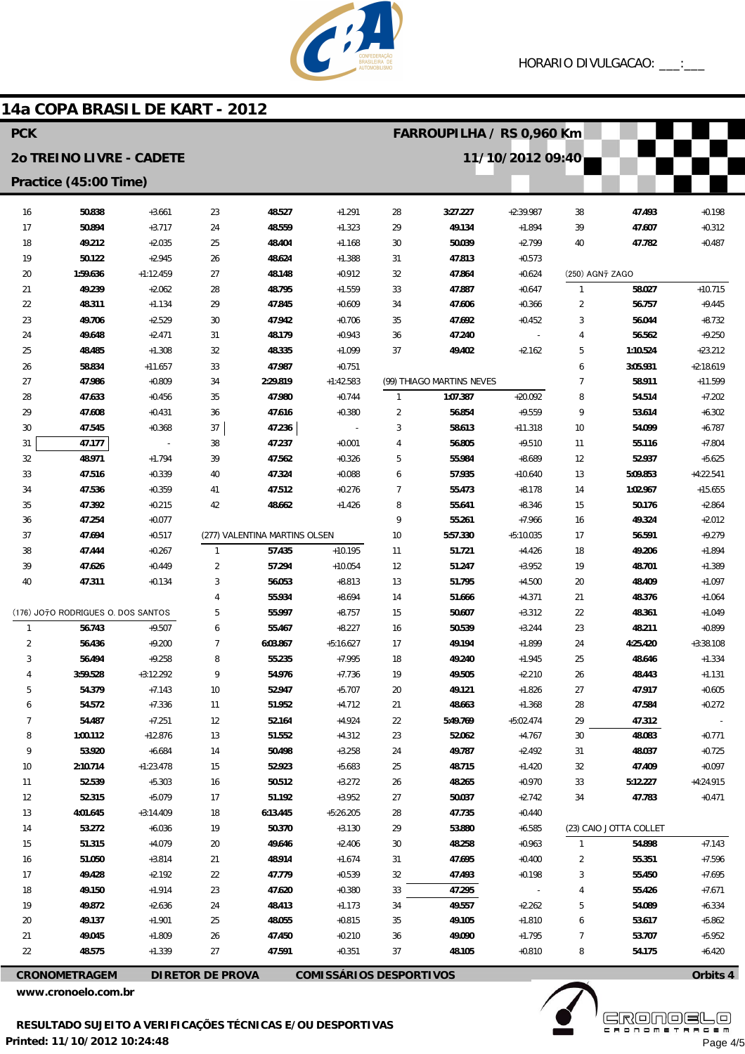

### 14a COPA BRASIL DE KART - 2012 **PCK FARROUPILHA / RS 0.960 Km** 20 TREINO LIVRE - CADETE 11/10/2012 09:40 Practice (45:00 Time) 50.838  $23$ 48.527  $+1291$  $28$  $3:27.227$  $+2.39987$ 47.493 16  $+3.661$ 38  $+0.198$  $17$ 50.894  $+3.717$ 24 48.559  $+1.323$ 29 49.134  $+1.894$ 39 47.607  $+0.312$ 18 49.212  $+2.035$ 25 48.404  $+1.168$  $30$ 50.039  $+2.799$  $40$ 47.782  $+0.487$  $19$ 50122  $+2945$  $26$ 48624  $+1.388$  $31$ 47813  $+0.573$  $+1:12.459$ 48.148 47.864 (250) AGN7 ZAGO  $20$ 1:59.636  $27$  $+0.912$ 32  $+0.624$ 21  $+2.062$ 48.795 33 47.887  $\mathbf{1}$ 58.027  $+10.715$ 49.239 28  $+1.559$  $+0.647$  $22$ 48.311  $+1.134$ 29 47.845  $+0.609$ 34 47.606  $+0.366$  $\overline{2}$ 56.757  $+9.445$ 23 49.706  $+8.732$  $+2.529$ 30 47.942  $+0.706$ 35 47.692  $+0.452$ 3 56.044  $24$ 49648  $+2471$  $31$ 48 179  $+0.943$ 36 47.240  $\Delta$ 56562  $+9.250$ 25 48.485  $+1.308$  $32$ 48.335  $+1.099$ 37 49.402  $+2.162$  $\overline{5}$ 1:10.524  $+23.212$ 58834  $33$ 47987  $+0.751$ 3:05.931  $+2.18619$  $26$  $+11.657$  $\overline{a}$ (99) THIAGO MARTINS NEVES  $27$ 47986  $+0.809$  $34$  $2.29819$  $+1:42.583$  $\overline{7}$ 58911  $+11599$ 28  $+0.456$ 47.980 1:07.387  $+20.092$ 8  $+7.202$ 47.633 35  $+0.744$  $\overline{1}$ 54.514  $\overline{\phantom{a}}$  $\overline{q}$  $29$ 47.608  $+0.431$ 47.616 56.854  $+9.559$ 36  $+0.380$ 53.614  $+6.302$  $30$ 47.545  $+0.368$ 37 47.236  $\overline{3}$ 58.613  $+11.318$  $10$ 54.099  $+6.787$ 47.237  $\overline{4}$ 56.805  $+7.804$  $31$ 47.177 38  $+0.001$  $+9.510$  $11$ 55,116  $32$ 48.971  $+1794$  $39$ 47.562  $+0.326$  $\overline{5}$ 55984  $+8.689$  $12$ 52937  $+5.625$  $33$ 47.516  $+0.339$  $40$ 47.324  $+0.088$  $\ddot{\mathbf{6}}$ 57.935  $+10.640$  $13$ 5:09.853  $+4:22.541$  $\overline{7}$  $34$ 47.536  $+0.359$  $41$ 47.512  $+0.276$ 55.473 1:02.967  $+15.655$  $+8.178$ 14  $25$ 47392  $+0.215$  $\Delta$ 2 48.662  $+1426$  $\mathsf{R}$ 55.641  $+8.346$ 15 50176  $+2864$ 47.254  $+0.077$  $\overline{9}$ 55.261  $+7.966$ 49.324  $+2.012$ 36 16 (277) VALENTINA MARTINS OLSEN  $37$ 47694  $+0.517$  $10$ 5.57.330  $+5.10035$  $+9279$  $17$ 56591 57.435  $+10.195$ 51.721 38 47.444  $+0.267$  $\overline{1}$  $11$  $+4.426$ 18 49.206  $+1.894$ 39  $\overline{2}$ 57.294 51.247 47.626  $+0.449$  $+10.054$  $12$  $+3.952$ 19 48.701  $+1.389$  $\overline{3}$ 51795  $40$ 47311  $+0.134$ 56.053  $+8.813$  $13$  $+4500$  $20$ 48,409  $+1097$  $\overline{4}$ 55.934  $+8.694$  $14$ 51.666  $+4.371$  $21$ 48.376  $+1.064$  $(176)$  JO<sub>7</sub>O RODRIGUES O DOS SANTOS  $\overline{5}$ 55.997  $15$ 50.607  $\overline{\mathfrak{D}}$ 48.361  $+8757$  $+3.312$  $+1049$ 56.743  $+9.507$  $\ddot{\mathbf{6}}$ 55.467  $+8.227$ 50.539  $+3.244$  $23$ 48.211  $+0.899$  $\overline{1}$ 16  $\overline{2}$ 56.436  $+9.200$  $\overline{7}$ 6:03.867  $17$ 49.194  $+1.899$  $24$ 4:25.420  $+3:38.108$  $+5:16.627$  $\mathbf{3}$ 56.494  $+9.258$ 8 55.235  $+7.995$ 18 49.240  $+1.945$ 25 48.646  $+1.334$  $\overline{4}$ 3:59.528  $+3:12.292$ 9 54.976  $+7.736$ 19 49.505  $+2.210$ 26 48.443  $+1.131$ 5 54.379  $+7.143$  $10$ 52.947  $+5.707$ 20 49.121  $+1.826$ 27 47.917  $+0.605$  $\ddot{\mathbf{6}}$ 54.572  $+7.336$  $11$ 51.952  $+4.712$  $21$ 48.663  $+1.368$ 28 47.584  $+0.272$  $\overline{7}$ 54.487  $+7.251$  $12$ 52.164  $+4.924$  $22$ 5:49.769  $+5:02.474$ 29 47.312  $\mathbf{g}$  $+12876$ 1:00.112  $13$ 51.552  $+4.312$ 23 52.062  $+4767$  $30$ 48.083  $+0.771$ 50.498  $\overline{Q}$ 53.920  $+6.684$  $+3.258$  $24$ 49787  $+2.492$  $31$ 48.037  $+0.725$ 14  $10$ 2:10.714  $+1:23.478$ 15 52.923  $25$ 48.715  $32$ 47.409  $+0.097$  $+5.683$  $+1.420$  $11$ 52.539  $+5.303$  $16$ 50.512  $+3.272$  $26$ 48.265  $+0.970$  $33$ 5:12.227  $+4:24.915$ 52.315 50.037  $12$  $+5.079$  $17$ 51.192  $+3.952$ 27  $+2.742$ 34 47.783  $+0.471$  $13$ 4:01.645  $+3.14409$ 18  $6:13.445$  $+5.26205$  $28$ 47.735  $+0.440$  $+3.130$  $14$ 53.272  $+6.036$ 19 50.370 29 53,880  $+6.585$ (23) CAIO JOTTA COLLET  $15$ 51.315  $+4.079$  $\overline{20}$ 49.646  $+2406$  $30$ 48.258  $+0.963$  $\overline{1}$ 54.898  $+7143$ 55351  $16$ 51.050  $+3.814$  $21$ 48 914  $+1674$  $31$ 47695  $+0.400$  $\overline{2}$  $+7596$  $17$ 49.428  $+2.192$  $\overline{2}$ 47.779  $+0.539$  $32$ 47.493  $+0.198$  $\overline{3}$ 55.450  $+7.695$ 18 49.150  $+1.914$ 23 47.620  $+0.380$ 33 47.295 55.426  $+7.671$  $\overline{4}$ 19 49.872  $+2.636$ 24 48413  $+1.173$ 34 49.557  $+2.262$ 5 54.089  $+6.334$  $20$ 49.137  $+1901$  $25$ 48.055  $+0.815$ 35 49.105  $+1810$  $\overline{6}$ 53.617  $+5862$  $21$ 47.450 49.090  $+5952$ 49.045  $+1.809$  $26$  $+0.210$ 36  $+1795$  $\overline{7}$ 53.707  $\overline{\mathfrak{D}}$ 48.575  $+1.339$  $27$ 47.591  $+0.351$  $\overline{37}$ 48.105  $+0.810$ 8 54.175  $+6.420$

**CRONOMETRAGEM DIRETOR DE PROVA**  **COMISSÁRIOS DESPORTIVOS** 

www.cronoelo.com.br

**ERONOEL**E

Page 4/5

Orbits 4